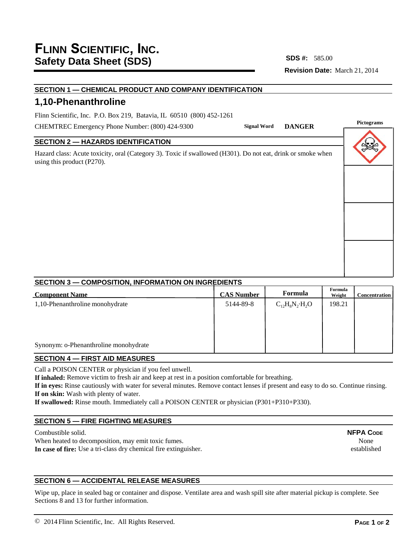**Revision Date:** March 21, 2014 **SDS #:**

# **SECTION 1 — CHEMICAL PRODUCT AND COMPANY IDENTIFICATION 1,10-Phenanthroline SECTION 2 — HAZARDS IDENTIFICATION** Hazard class: Acute toxicity, oral (Category 3). Toxic if swallowed (H301). Do not eat, drink or smoke when using this product (P270). CHEMTREC Emergency Phone Number: (800) 424-9300 Flinn Scientific, Inc. P.O. Box 219, Batavia, IL 60510 (800) 452-1261 **Pictograms Signal Word DANGER**

# **SECTION 3 — COMPOSITION, INFORMATION ON INGREDIENTS**

| <b>Component Name</b>                 | <b>CAS Number</b> | Formula                   | Formula<br>Weight | <b>Concentration</b> |
|---------------------------------------|-------------------|---------------------------|-------------------|----------------------|
| 1,10-Phenanthroline monohydrate       | 5144-89-8         | $C_{12}H_8N_2 \cdot H_2O$ | 198.21            |                      |
|                                       |                   |                           |                   |                      |
|                                       |                   |                           |                   |                      |
| Synonym: o-Phenanthroline monohydrate |                   |                           |                   |                      |

## **SECTION 4 — FIRST AID MEASURES**

Call a POISON CENTER or physician if you feel unwell.

**If inhaled:** Remove victim to fresh air and keep at rest in a position comfortable for breathing.

**If in eyes:** Rinse cautiously with water for several minutes. Remove contact lenses if present and easy to do so. Continue rinsing. **If on skin:** Wash with plenty of water.

**If swallowed:** Rinse mouth. Immediately call a POISON CENTER or physician (P301+P310+P330).

# **SECTION 5 — FIRE FIGHTING MEASURES**

Combustible solid.

When heated to decomposition, may emit toxic fumes. **In case of fire:** Use a tri-class dry chemical fire extinguisher.

# **SECTION 6 — ACCIDENTAL RELEASE MEASURES**

Wipe up, place in sealed bag or container and dispose. Ventilate area and wash spill site after material pickup is complete. See Sections 8 and 13 for further information.

**NFPA CODE** None established